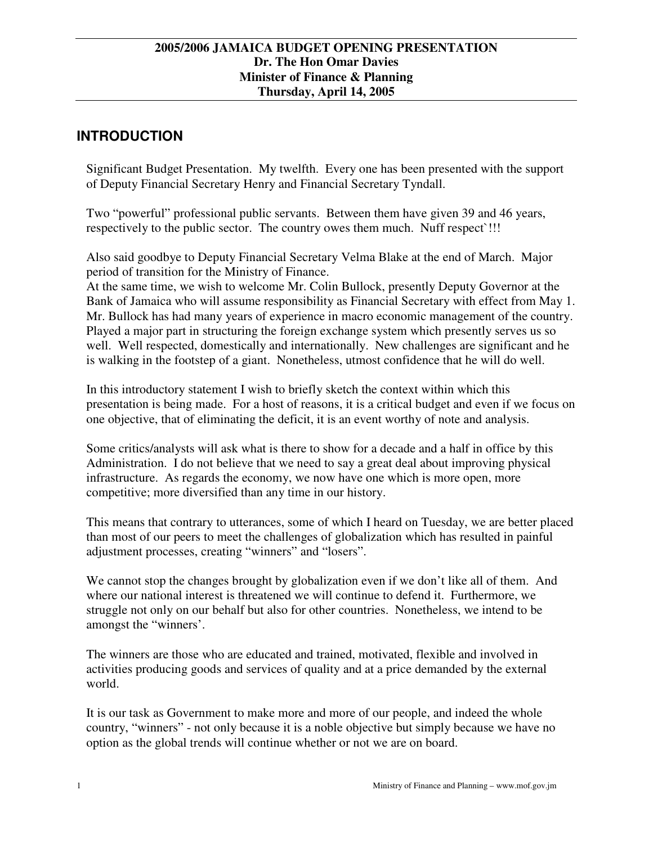# **INTRODUCTION**

Significant Budget Presentation. My twelfth. Every one has been presented with the support of Deputy Financial Secretary Henry and Financial Secretary Tyndall.

Two "powerful" professional public servants. Between them have given 39 and 46 years, respectively to the public sector. The country owes them much. Nuff respect`!!!

Also said goodbye to Deputy Financial Secretary Velma Blake at the end of March. Major period of transition for the Ministry of Finance.

At the same time, we wish to welcome Mr. Colin Bullock, presently Deputy Governor at the Bank of Jamaica who will assume responsibility as Financial Secretary with effect from May 1. Mr. Bullock has had many years of experience in macro economic management of the country. Played a major part in structuring the foreign exchange system which presently serves us so well. Well respected, domestically and internationally. New challenges are significant and he is walking in the footstep of a giant. Nonetheless, utmost confidence that he will do well.

In this introductory statement I wish to briefly sketch the context within which this presentation is being made. For a host of reasons, it is a critical budget and even if we focus on one objective, that of eliminating the deficit, it is an event worthy of note and analysis.

Some critics/analysts will ask what is there to show for a decade and a half in office by this Administration. I do not believe that we need to say a great deal about improving physical infrastructure. As regards the economy, we now have one which is more open, more competitive; more diversified than any time in our history.

This means that contrary to utterances, some of which I heard on Tuesday, we are better placed than most of our peers to meet the challenges of globalization which has resulted in painful adjustment processes, creating "winners" and "losers".

We cannot stop the changes brought by globalization even if we don't like all of them. And where our national interest is threatened we will continue to defend it. Furthermore, we struggle not only on our behalf but also for other countries. Nonetheless, we intend to be amongst the "winners'.

The winners are those who are educated and trained, motivated, flexible and involved in activities producing goods and services of quality and at a price demanded by the external world.

It is our task as Government to make more and more of our people, and indeed the whole country, "winners" - not only because it is a noble objective but simply because we have no option as the global trends will continue whether or not we are on board.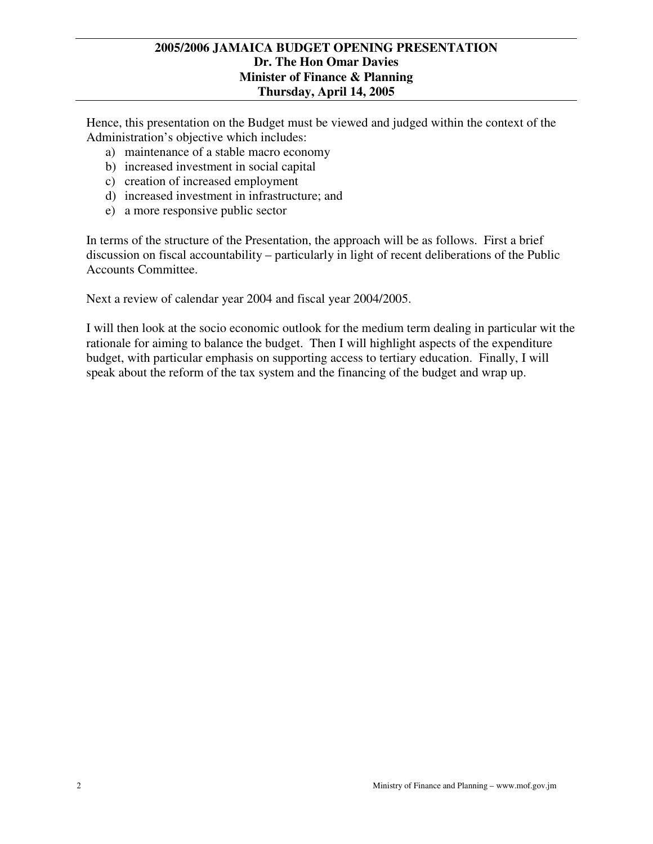Hence, this presentation on the Budget must be viewed and judged within the context of the Administration's objective which includes:

- a) maintenance of a stable macro economy
- b) increased investment in social capital
- c) creation of increased employment
- d) increased investment in infrastructure; and
- e) a more responsive public sector

In terms of the structure of the Presentation, the approach will be as follows. First a brief discussion on fiscal accountability – particularly in light of recent deliberations of the Public Accounts Committee.

Next a review of calendar year 2004 and fiscal year 2004/2005.

I will then look at the socio economic outlook for the medium term dealing in particular wit the rationale for aiming to balance the budget. Then I will highlight aspects of the expenditure budget, with particular emphasis on supporting access to tertiary education. Finally, I will speak about the reform of the tax system and the financing of the budget and wrap up.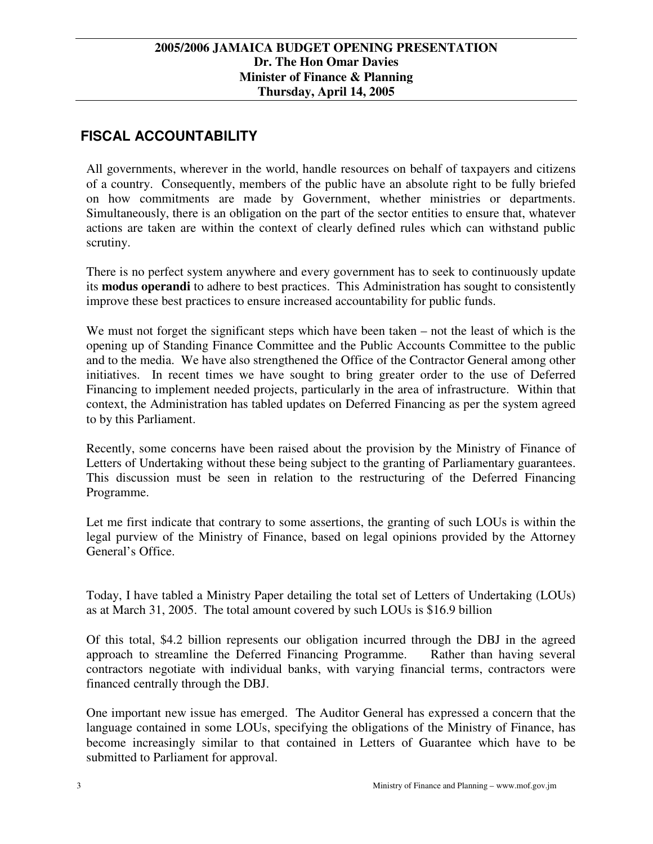# **FISCAL ACCOUNTABILITY**

All governments, wherever in the world, handle resources on behalf of taxpayers and citizens of a country. Consequently, members of the public have an absolute right to be fully briefed on how commitments are made by Government, whether ministries or departments. Simultaneously, there is an obligation on the part of the sector entities to ensure that, whatever actions are taken are within the context of clearly defined rules which can withstand public scrutiny.

There is no perfect system anywhere and every government has to seek to continuously update its **modus operandi** to adhere to best practices. This Administration has sought to consistently improve these best practices to ensure increased accountability for public funds.

We must not forget the significant steps which have been taken – not the least of which is the opening up of Standing Finance Committee and the Public Accounts Committee to the public and to the media. We have also strengthened the Office of the Contractor General among other initiatives. In recent times we have sought to bring greater order to the use of Deferred Financing to implement needed projects, particularly in the area of infrastructure. Within that context, the Administration has tabled updates on Deferred Financing as per the system agreed to by this Parliament.

Recently, some concerns have been raised about the provision by the Ministry of Finance of Letters of Undertaking without these being subject to the granting of Parliamentary guarantees. This discussion must be seen in relation to the restructuring of the Deferred Financing Programme.

Let me first indicate that contrary to some assertions, the granting of such LOUs is within the legal purview of the Ministry of Finance, based on legal opinions provided by the Attorney General's Office.

Today, I have tabled a Ministry Paper detailing the total set of Letters of Undertaking (LOUs) as at March 31, 2005. The total amount covered by such LOUs is \$16.9 billion

Of this total, \$4.2 billion represents our obligation incurred through the DBJ in the agreed approach to streamline the Deferred Financing Programme. Rather than having several contractors negotiate with individual banks, with varying financial terms, contractors were financed centrally through the DBJ.

One important new issue has emerged. The Auditor General has expressed a concern that the language contained in some LOUs, specifying the obligations of the Ministry of Finance, has become increasingly similar to that contained in Letters of Guarantee which have to be submitted to Parliament for approval.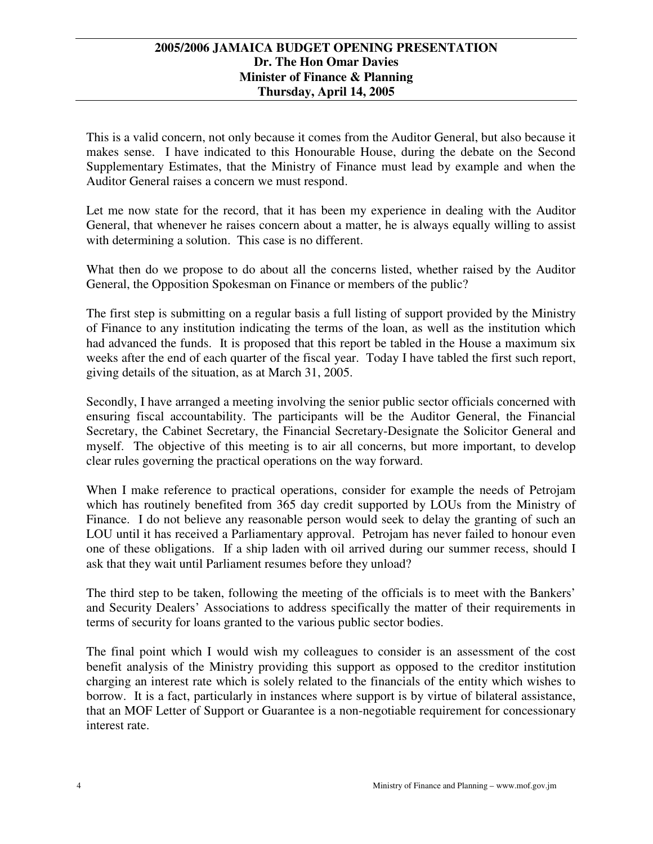This is a valid concern, not only because it comes from the Auditor General, but also because it makes sense. I have indicated to this Honourable House, during the debate on the Second Supplementary Estimates, that the Ministry of Finance must lead by example and when the Auditor General raises a concern we must respond.

Let me now state for the record, that it has been my experience in dealing with the Auditor General, that whenever he raises concern about a matter, he is always equally willing to assist with determining a solution. This case is no different.

What then do we propose to do about all the concerns listed, whether raised by the Auditor General, the Opposition Spokesman on Finance or members of the public?

The first step is submitting on a regular basis a full listing of support provided by the Ministry of Finance to any institution indicating the terms of the loan, as well as the institution which had advanced the funds. It is proposed that this report be tabled in the House a maximum six weeks after the end of each quarter of the fiscal year. Today I have tabled the first such report, giving details of the situation, as at March 31, 2005.

Secondly, I have arranged a meeting involving the senior public sector officials concerned with ensuring fiscal accountability. The participants will be the Auditor General, the Financial Secretary, the Cabinet Secretary, the Financial Secretary-Designate the Solicitor General and myself. The objective of this meeting is to air all concerns, but more important, to develop clear rules governing the practical operations on the way forward.

When I make reference to practical operations, consider for example the needs of Petrojam which has routinely benefited from 365 day credit supported by LOUs from the Ministry of Finance. I do not believe any reasonable person would seek to delay the granting of such an LOU until it has received a Parliamentary approval. Petrojam has never failed to honour even one of these obligations. If a ship laden with oil arrived during our summer recess, should I ask that they wait until Parliament resumes before they unload?

The third step to be taken, following the meeting of the officials is to meet with the Bankers' and Security Dealers' Associations to address specifically the matter of their requirements in terms of security for loans granted to the various public sector bodies.

The final point which I would wish my colleagues to consider is an assessment of the cost benefit analysis of the Ministry providing this support as opposed to the creditor institution charging an interest rate which is solely related to the financials of the entity which wishes to borrow. It is a fact, particularly in instances where support is by virtue of bilateral assistance, that an MOF Letter of Support or Guarantee is a non-negotiable requirement for concessionary interest rate.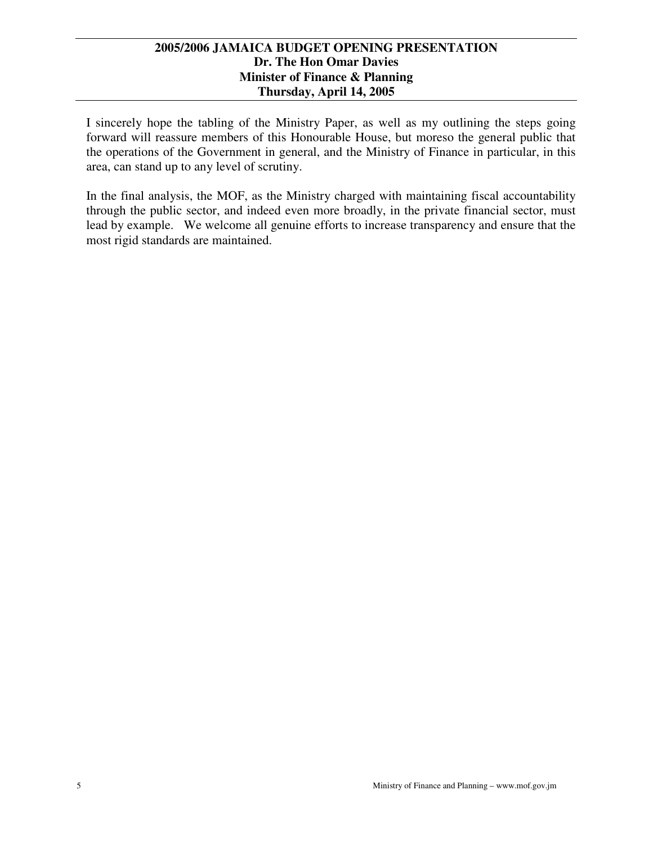I sincerely hope the tabling of the Ministry Paper, as well as my outlining the steps going forward will reassure members of this Honourable House, but moreso the general public that the operations of the Government in general, and the Ministry of Finance in particular, in this area, can stand up to any level of scrutiny.

In the final analysis, the MOF, as the Ministry charged with maintaining fiscal accountability through the public sector, and indeed even more broadly, in the private financial sector, must lead by example. We welcome all genuine efforts to increase transparency and ensure that the most rigid standards are maintained.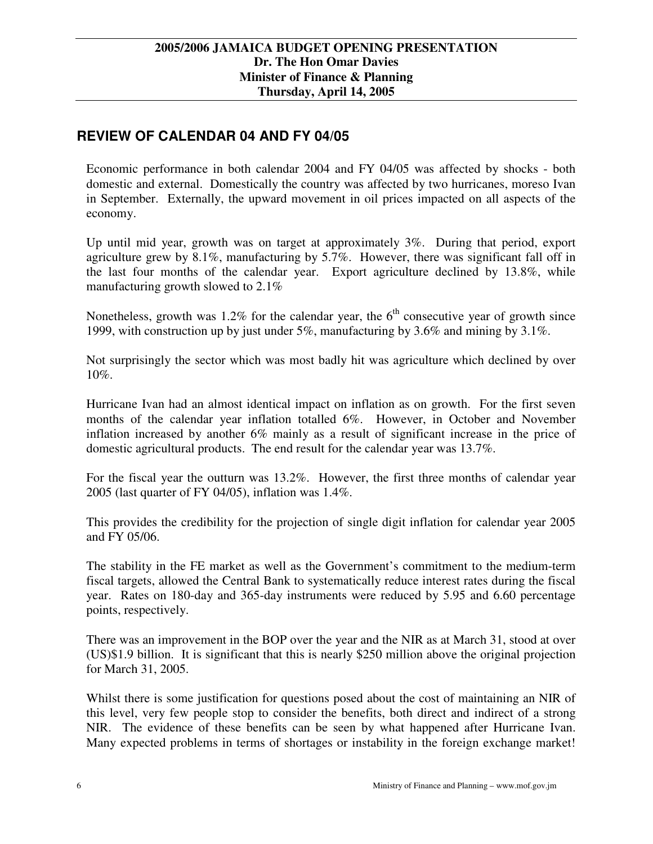# **REVIEW OF CALENDAR 04 AND FY 04/05**

Economic performance in both calendar 2004 and FY 04/05 was affected by shocks - both domestic and external. Domestically the country was affected by two hurricanes, moreso Ivan in September. Externally, the upward movement in oil prices impacted on all aspects of the economy.

Up until mid year, growth was on target at approximately 3%. During that period, export agriculture grew by 8.1%, manufacturing by 5.7%. However, there was significant fall off in the last four months of the calendar year. Export agriculture declined by 13.8%, while manufacturing growth slowed to 2.1%

Nonetheless, growth was 1.2% for the calendar year, the  $6<sup>th</sup>$  consecutive year of growth since 1999, with construction up by just under 5%, manufacturing by 3.6% and mining by 3.1%.

Not surprisingly the sector which was most badly hit was agriculture which declined by over 10%.

Hurricane Ivan had an almost identical impact on inflation as on growth. For the first seven months of the calendar year inflation totalled 6%. However, in October and November inflation increased by another 6% mainly as a result of significant increase in the price of domestic agricultural products. The end result for the calendar year was 13.7%.

For the fiscal year the outturn was 13.2%. However, the first three months of calendar year 2005 (last quarter of FY 04/05), inflation was 1.4%.

This provides the credibility for the projection of single digit inflation for calendar year 2005 and FY 05/06.

The stability in the FE market as well as the Government's commitment to the medium-term fiscal targets, allowed the Central Bank to systematically reduce interest rates during the fiscal year. Rates on 180-day and 365-day instruments were reduced by 5.95 and 6.60 percentage points, respectively.

There was an improvement in the BOP over the year and the NIR as at March 31, stood at over (US)\$1.9 billion. It is significant that this is nearly \$250 million above the original projection for March 31, 2005.

Whilst there is some justification for questions posed about the cost of maintaining an NIR of this level, very few people stop to consider the benefits, both direct and indirect of a strong NIR. The evidence of these benefits can be seen by what happened after Hurricane Ivan. Many expected problems in terms of shortages or instability in the foreign exchange market!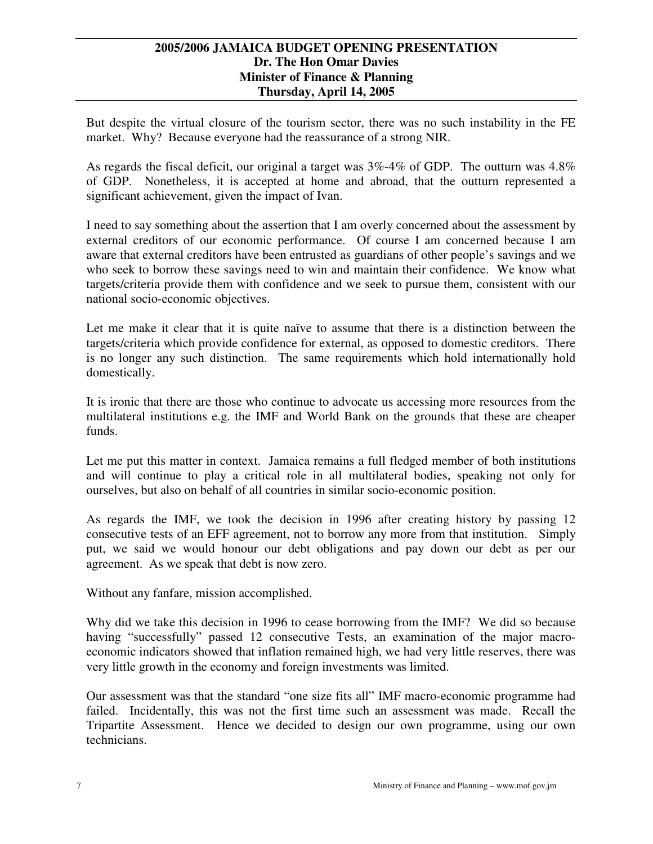But despite the virtual closure of the tourism sector, there was no such instability in the FE market. Why? Because everyone had the reassurance of a strong NIR.

As regards the fiscal deficit, our original a target was 3%-4% of GDP. The outturn was 4.8% of GDP. Nonetheless, it is accepted at home and abroad, that the outturn represented a significant achievement, given the impact of Ivan.

I need to say something about the assertion that I am overly concerned about the assessment by external creditors of our economic performance. Of course I am concerned because I am aware that external creditors have been entrusted as guardians of other people's savings and we who seek to borrow these savings need to win and maintain their confidence. We know what targets/criteria provide them with confidence and we seek to pursue them, consistent with our national socio-economic objectives.

Let me make it clear that it is quite naïve to assume that there is a distinction between the targets/criteria which provide confidence for external, as opposed to domestic creditors. There is no longer any such distinction. The same requirements which hold internationally hold domestically.

It is ironic that there are those who continue to advocate us accessing more resources from the multilateral institutions e.g. the IMF and World Bank on the grounds that these are cheaper funds.

Let me put this matter in context. Jamaica remains a full fledged member of both institutions and will continue to play a critical role in all multilateral bodies, speaking not only for ourselves, but also on behalf of all countries in similar socio-economic position.

As regards the IMF, we took the decision in 1996 after creating history by passing 12 consecutive tests of an EFF agreement, not to borrow any more from that institution. Simply put, we said we would honour our debt obligations and pay down our debt as per our agreement. As we speak that debt is now zero.

Without any fanfare, mission accomplished.

Why did we take this decision in 1996 to cease borrowing from the IMF? We did so because having "successfully" passed 12 consecutive Tests, an examination of the major macroeconomic indicators showed that inflation remained high, we had very little reserves, there was very little growth in the economy and foreign investments was limited.

Our assessment was that the standard "one size fits all" IMF macro-economic programme had failed. Incidentally, this was not the first time such an assessment was made. Recall the Tripartite Assessment. Hence we decided to design our own programme, using our own technicians.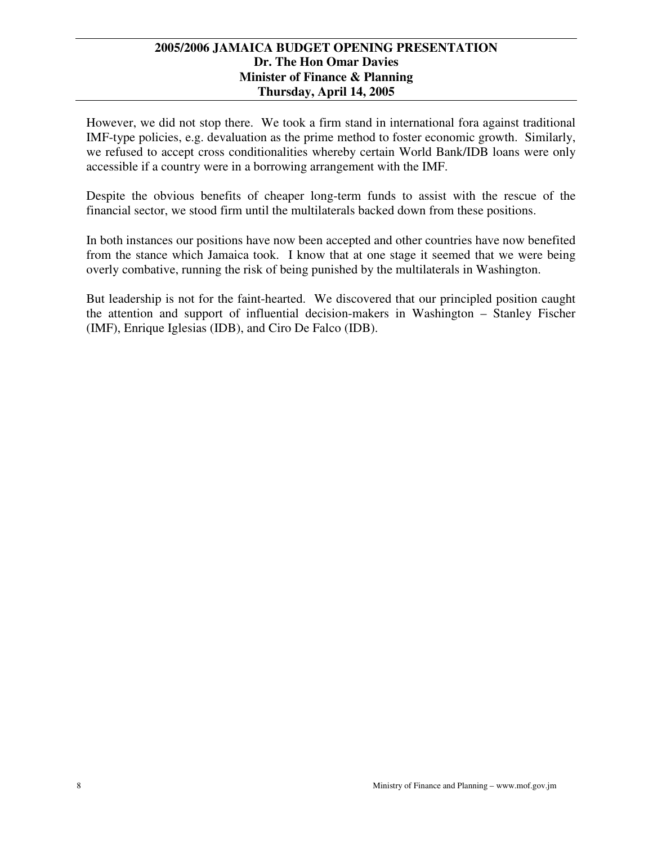However, we did not stop there. We took a firm stand in international fora against traditional IMF-type policies, e.g. devaluation as the prime method to foster economic growth. Similarly, we refused to accept cross conditionalities whereby certain World Bank/IDB loans were only accessible if a country were in a borrowing arrangement with the IMF.

Despite the obvious benefits of cheaper long-term funds to assist with the rescue of the financial sector, we stood firm until the multilaterals backed down from these positions.

In both instances our positions have now been accepted and other countries have now benefited from the stance which Jamaica took. I know that at one stage it seemed that we were being overly combative, running the risk of being punished by the multilaterals in Washington.

But leadership is not for the faint-hearted. We discovered that our principled position caught the attention and support of influential decision-makers in Washington – Stanley Fischer (IMF), Enrique Iglesias (IDB), and Ciro De Falco (IDB).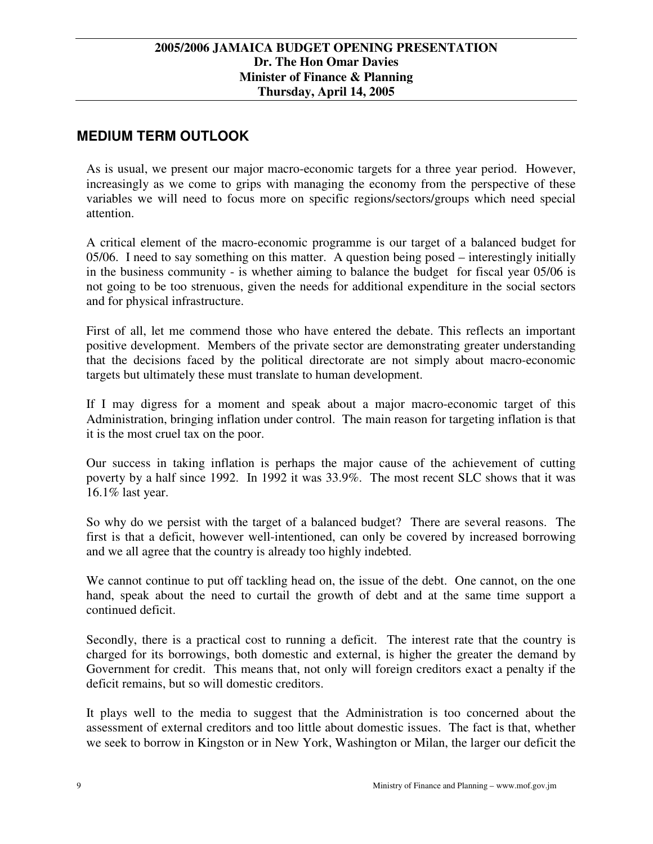# **MEDIUM TERM OUTLOOK**

As is usual, we present our major macro-economic targets for a three year period. However, increasingly as we come to grips with managing the economy from the perspective of these variables we will need to focus more on specific regions/sectors/groups which need special attention.

A critical element of the macro-economic programme is our target of a balanced budget for 05/06. I need to say something on this matter. A question being posed – interestingly initially in the business community - is whether aiming to balance the budget for fiscal year 05/06 is not going to be too strenuous, given the needs for additional expenditure in the social sectors and for physical infrastructure.

First of all, let me commend those who have entered the debate. This reflects an important positive development. Members of the private sector are demonstrating greater understanding that the decisions faced by the political directorate are not simply about macro-economic targets but ultimately these must translate to human development.

If I may digress for a moment and speak about a major macro-economic target of this Administration, bringing inflation under control. The main reason for targeting inflation is that it is the most cruel tax on the poor.

Our success in taking inflation is perhaps the major cause of the achievement of cutting poverty by a half since 1992. In 1992 it was 33.9%. The most recent SLC shows that it was 16.1% last year.

So why do we persist with the target of a balanced budget? There are several reasons. The first is that a deficit, however well-intentioned, can only be covered by increased borrowing and we all agree that the country is already too highly indebted.

We cannot continue to put off tackling head on, the issue of the debt. One cannot, on the one hand, speak about the need to curtail the growth of debt and at the same time support a continued deficit.

Secondly, there is a practical cost to running a deficit. The interest rate that the country is charged for its borrowings, both domestic and external, is higher the greater the demand by Government for credit. This means that, not only will foreign creditors exact a penalty if the deficit remains, but so will domestic creditors.

It plays well to the media to suggest that the Administration is too concerned about the assessment of external creditors and too little about domestic issues. The fact is that, whether we seek to borrow in Kingston or in New York, Washington or Milan, the larger our deficit the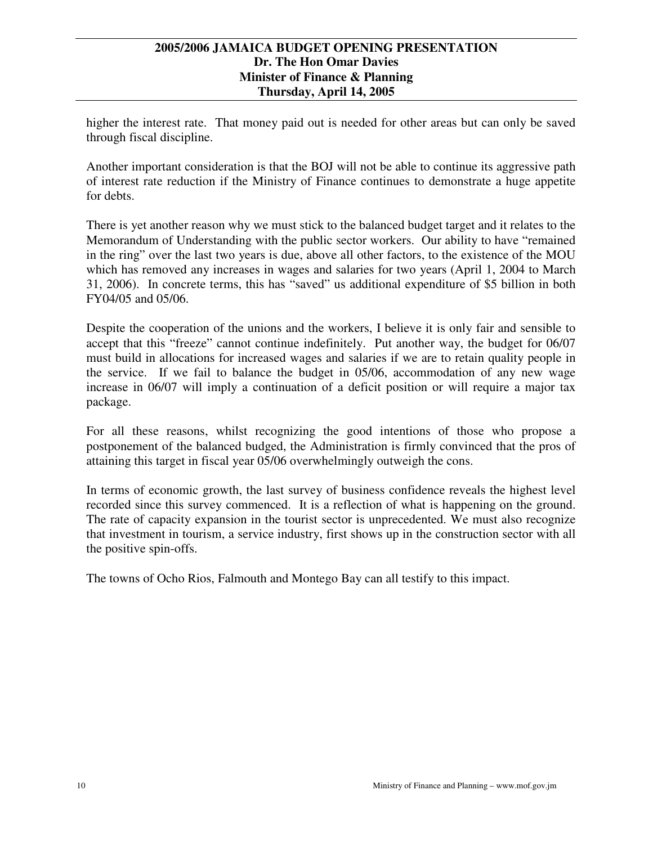higher the interest rate. That money paid out is needed for other areas but can only be saved through fiscal discipline.

Another important consideration is that the BOJ will not be able to continue its aggressive path of interest rate reduction if the Ministry of Finance continues to demonstrate a huge appetite for debts.

There is yet another reason why we must stick to the balanced budget target and it relates to the Memorandum of Understanding with the public sector workers. Our ability to have "remained in the ring" over the last two years is due, above all other factors, to the existence of the MOU which has removed any increases in wages and salaries for two years (April 1, 2004 to March 31, 2006). In concrete terms, this has "saved" us additional expenditure of \$5 billion in both FY04/05 and 05/06.

Despite the cooperation of the unions and the workers, I believe it is only fair and sensible to accept that this "freeze" cannot continue indefinitely. Put another way, the budget for 06/07 must build in allocations for increased wages and salaries if we are to retain quality people in the service. If we fail to balance the budget in 05/06, accommodation of any new wage increase in 06/07 will imply a continuation of a deficit position or will require a major tax package.

For all these reasons, whilst recognizing the good intentions of those who propose a postponement of the balanced budged, the Administration is firmly convinced that the pros of attaining this target in fiscal year 05/06 overwhelmingly outweigh the cons.

In terms of economic growth, the last survey of business confidence reveals the highest level recorded since this survey commenced. It is a reflection of what is happening on the ground. The rate of capacity expansion in the tourist sector is unprecedented. We must also recognize that investment in tourism, a service industry, first shows up in the construction sector with all the positive spin-offs.

The towns of Ocho Rios, Falmouth and Montego Bay can all testify to this impact.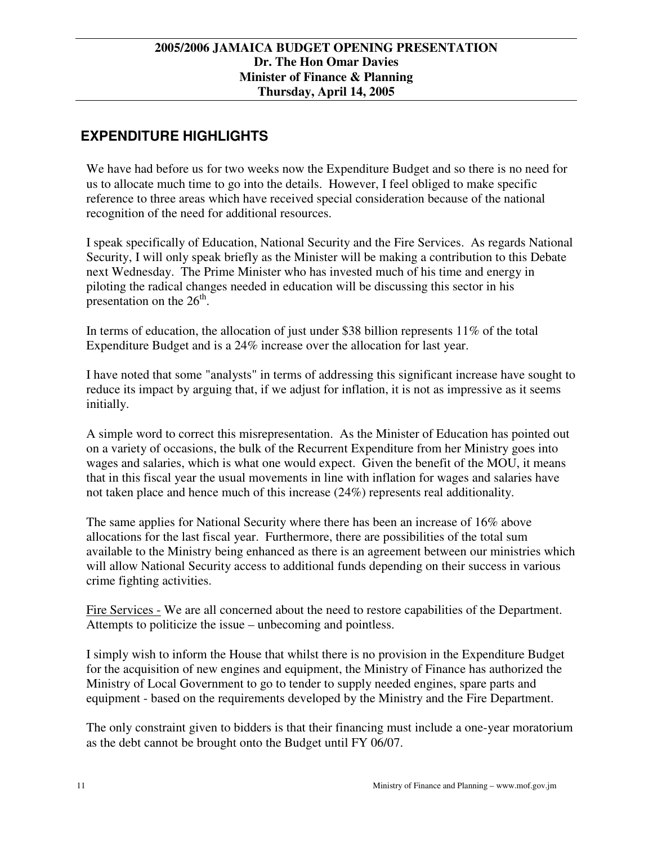# **EXPENDITURE HIGHLIGHTS**

We have had before us for two weeks now the Expenditure Budget and so there is no need for us to allocate much time to go into the details. However, I feel obliged to make specific reference to three areas which have received special consideration because of the national recognition of the need for additional resources.

I speak specifically of Education, National Security and the Fire Services. As regards National Security, I will only speak briefly as the Minister will be making a contribution to this Debate next Wednesday. The Prime Minister who has invested much of his time and energy in piloting the radical changes needed in education will be discussing this sector in his presentation on the  $26<sup>th</sup>$ .

In terms of education, the allocation of just under \$38 billion represents 11% of the total Expenditure Budget and is a 24% increase over the allocation for last year.

I have noted that some "analysts" in terms of addressing this significant increase have sought to reduce its impact by arguing that, if we adjust for inflation, it is not as impressive as it seems initially.

A simple word to correct this misrepresentation. As the Minister of Education has pointed out on a variety of occasions, the bulk of the Recurrent Expenditure from her Ministry goes into wages and salaries, which is what one would expect. Given the benefit of the MOU, it means that in this fiscal year the usual movements in line with inflation for wages and salaries have not taken place and hence much of this increase (24%) represents real additionality.

The same applies for National Security where there has been an increase of 16% above allocations for the last fiscal year. Furthermore, there are possibilities of the total sum available to the Ministry being enhanced as there is an agreement between our ministries which will allow National Security access to additional funds depending on their success in various crime fighting activities.

Fire Services - We are all concerned about the need to restore capabilities of the Department. Attempts to politicize the issue – unbecoming and pointless.

I simply wish to inform the House that whilst there is no provision in the Expenditure Budget for the acquisition of new engines and equipment, the Ministry of Finance has authorized the Ministry of Local Government to go to tender to supply needed engines, spare parts and equipment - based on the requirements developed by the Ministry and the Fire Department.

The only constraint given to bidders is that their financing must include a one-year moratorium as the debt cannot be brought onto the Budget until FY 06/07.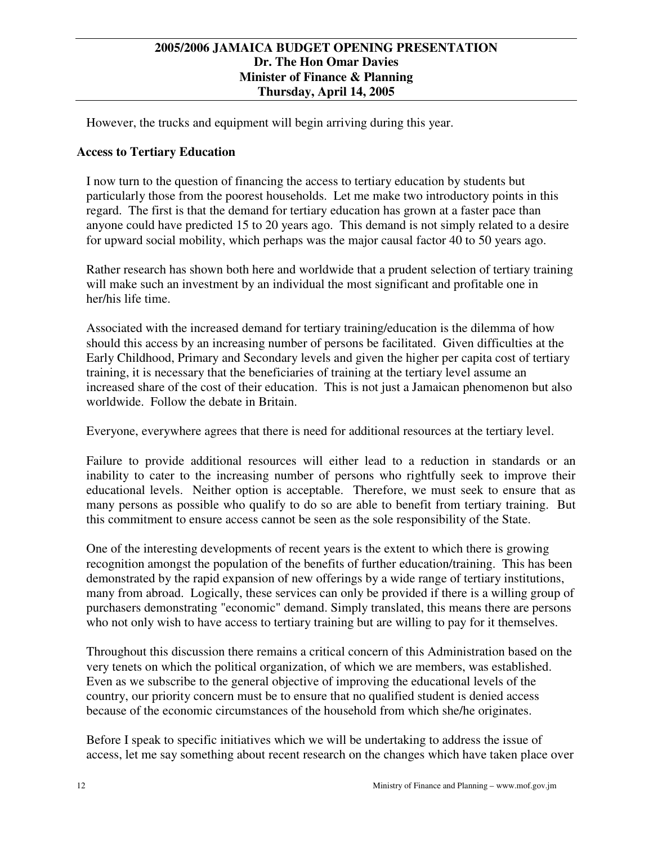However, the trucks and equipment will begin arriving during this year.

# **Access to Tertiary Education**

I now turn to the question of financing the access to tertiary education by students but particularly those from the poorest households. Let me make two introductory points in this regard. The first is that the demand for tertiary education has grown at a faster pace than anyone could have predicted 15 to 20 years ago. This demand is not simply related to a desire for upward social mobility, which perhaps was the major causal factor 40 to 50 years ago.

Rather research has shown both here and worldwide that a prudent selection of tertiary training will make such an investment by an individual the most significant and profitable one in her/his life time.

Associated with the increased demand for tertiary training/education is the dilemma of how should this access by an increasing number of persons be facilitated. Given difficulties at the Early Childhood, Primary and Secondary levels and given the higher per capita cost of tertiary training, it is necessary that the beneficiaries of training at the tertiary level assume an increased share of the cost of their education. This is not just a Jamaican phenomenon but also worldwide. Follow the debate in Britain.

Everyone, everywhere agrees that there is need for additional resources at the tertiary level.

Failure to provide additional resources will either lead to a reduction in standards or an inability to cater to the increasing number of persons who rightfully seek to improve their educational levels. Neither option is acceptable. Therefore, we must seek to ensure that as many persons as possible who qualify to do so are able to benefit from tertiary training. But this commitment to ensure access cannot be seen as the sole responsibility of the State.

One of the interesting developments of recent years is the extent to which there is growing recognition amongst the population of the benefits of further education/training. This has been demonstrated by the rapid expansion of new offerings by a wide range of tertiary institutions, many from abroad. Logically, these services can only be provided if there is a willing group of purchasers demonstrating "economic" demand. Simply translated, this means there are persons who not only wish to have access to tertiary training but are willing to pay for it themselves.

Throughout this discussion there remains a critical concern of this Administration based on the very tenets on which the political organization, of which we are members, was established. Even as we subscribe to the general objective of improving the educational levels of the country, our priority concern must be to ensure that no qualified student is denied access because of the economic circumstances of the household from which she/he originates.

Before I speak to specific initiatives which we will be undertaking to address the issue of access, let me say something about recent research on the changes which have taken place over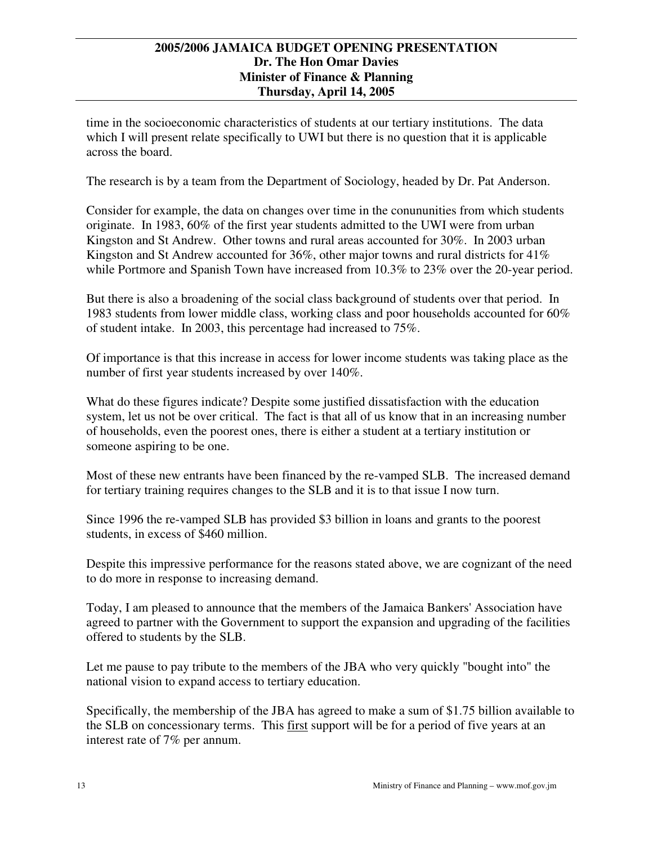time in the socioeconomic characteristics of students at our tertiary institutions. The data which I will present relate specifically to UWI but there is no question that it is applicable across the board.

The research is by a team from the Department of Sociology, headed by Dr. Pat Anderson.

Consider for example, the data on changes over time in the conununities from which students originate. In 1983, 60% of the first year students admitted to the UWI were from urban Kingston and St Andrew. Other towns and rural areas accounted for 30%. In 2003 urban Kingston and St Andrew accounted for  $36\%$ , other major towns and rural districts for  $41\%$ while Portmore and Spanish Town have increased from 10.3% to 23% over the 20-year period.

But there is also a broadening of the social class background of students over that period. In 1983 students from lower middle class, working class and poor households accounted for 60% of student intake. In 2003, this percentage had increased to 75%.

Of importance is that this increase in access for lower income students was taking place as the number of first year students increased by over 140%.

What do these figures indicate? Despite some justified dissatisfaction with the education system, let us not be over critical. The fact is that all of us know that in an increasing number of households, even the poorest ones, there is either a student at a tertiary institution or someone aspiring to be one.

Most of these new entrants have been financed by the re-vamped SLB. The increased demand for tertiary training requires changes to the SLB and it is to that issue I now turn.

Since 1996 the re-vamped SLB has provided \$3 billion in loans and grants to the poorest students, in excess of \$460 million.

Despite this impressive performance for the reasons stated above, we are cognizant of the need to do more in response to increasing demand.

Today, I am pleased to announce that the members of the Jamaica Bankers'Association have agreed to partner with the Government to support the expansion and upgrading of the facilities offered to students by the SLB.

Let me pause to pay tribute to the members of the JBA who very quickly "bought into" the national vision to expand access to tertiary education.

Specifically, the membership of the JBA has agreed to make a sum of \$1.75 billion available to the SLB on concessionary terms. This first support will be for a period of five years at an interest rate of 7% per annum.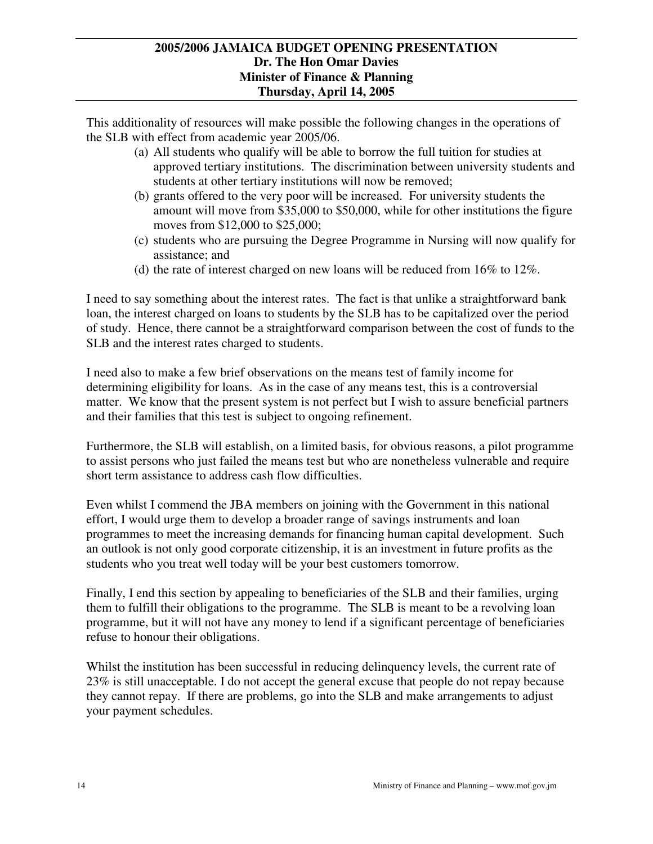This additionality of resources will make possible the following changes in the operations of the SLB with effect from academic year 2005/06.

- (a) All students who qualify will be able to borrow the full tuition for studies at approved tertiary institutions. The discrimination between university students and students at other tertiary institutions will now be removed;
- (b) grants offered to the very poor will be increased. For university students the amount will move from \$35,000 to \$50,000, while for other institutions the figure moves from \$12,000 to \$25,000;
- (c) students who are pursuing the Degree Programme in Nursing will now qualify for assistance; and
- (d) the rate of interest charged on new loans will be reduced from 16% to 12%.

I need to say something about the interest rates. The fact is that unlike a straightforward bank loan, the interest charged on loans to students by the SLB has to be capitalized over the period of study. Hence, there cannot be a straightforward comparison between the cost of funds to the SLB and the interest rates charged to students.

I need also to make a few brief observations on the means test of family income for determining eligibility for loans. As in the case of any means test, this is a controversial matter. We know that the present system is not perfect but I wish to assure beneficial partners and their families that this test is subject to ongoing refinement.

Furthermore, the SLB will establish, on a limited basis, for obvious reasons, a pilot programme to assist persons who just failed the means test but who are nonetheless vulnerable and require short term assistance to address cash flow difficulties.

Even whilst I commend the JBA members on joining with the Government in this national effort, I would urge them to develop a broader range of savings instruments and loan programmes to meet the increasing demands for financing human capital development. Such an outlook is not only good corporate citizenship, it is an investment in future profits as the students who you treat well today will be your best customers tomorrow.

Finally, I end this section by appealing to beneficiaries of the SLB and their families, urging them to fulfill their obligations to the programme. The SLB is meant to be a revolving loan programme, but it will not have any money to lend if a significant percentage of beneficiaries refuse to honour their obligations.

Whilst the institution has been successful in reducing delinquency levels, the current rate of 23% is still unacceptable. I do not accept the general excuse that people do not repay because they cannot repay. If there are problems, go into the SLB and make arrangements to adjust your payment schedules.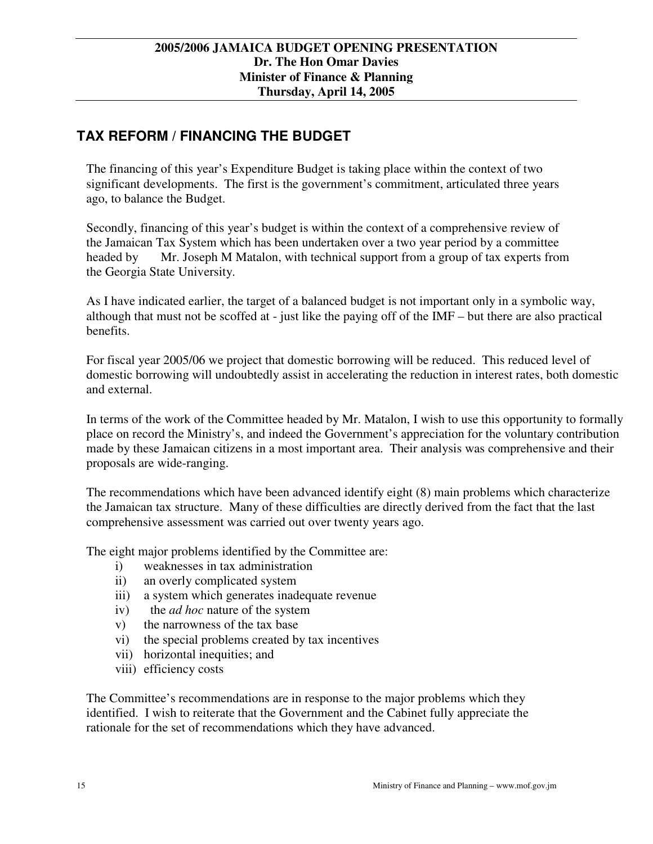# **TAX REFORM / FINANCING THE BUDGET**

The financing of this year's Expenditure Budget is taking place within the context of two significant developments. The first is the government's commitment, articulated three years ago, to balance the Budget.

Secondly, financing of this year's budget is within the context of a comprehensive review of the Jamaican Tax System which has been undertaken over a two year period by a committee headed by Mr. Joseph M Matalon, with technical support from a group of tax experts from the Georgia State University.

As I have indicated earlier, the target of a balanced budget is not important only in a symbolic way, although that must not be scoffed at - just like the paying off of the IMF – but there are also practical benefits.

For fiscal year 2005/06 we project that domestic borrowing will be reduced. This reduced level of domestic borrowing will undoubtedly assist in accelerating the reduction in interest rates, both domestic and external.

In terms of the work of the Committee headed by Mr. Matalon, I wish to use this opportunity to formally place on record the Ministry's, and indeed the Government's appreciation for the voluntary contribution made by these Jamaican citizens in a most important area. Their analysis was comprehensive and their proposals are wide-ranging.

The recommendations which have been advanced identify eight (8) main problems which characterize the Jamaican tax structure. Many of these difficulties are directly derived from the fact that the last comprehensive assessment was carried out over twenty years ago.

The eight major problems identified by the Committee are:

- i) weaknesses in tax administration
- ii) an overly complicated system
- iii) a system which generates inadequate revenue
- iv) the *ad hoc* nature of the system
- v) the narrowness of the tax base
- vi) the special problems created by tax incentives
- vii) horizontal inequities; and
- viii) efficiency costs

The Committee's recommendations are in response to the major problems which they identified. I wish to reiterate that the Government and the Cabinet fully appreciate the rationale for the set of recommendations which they have advanced.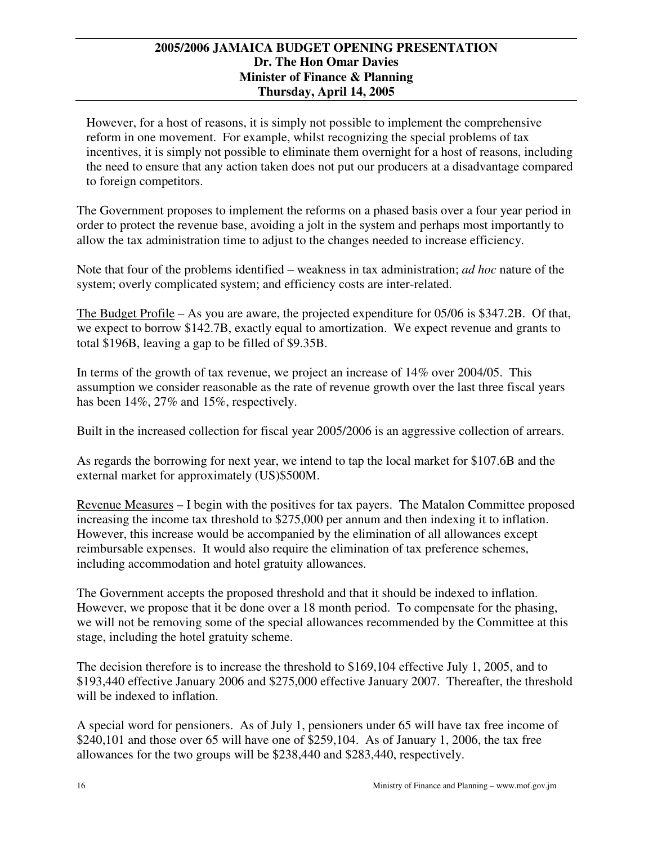However, for a host of reasons, it is simply not possible to implement the comprehensive reform in one movement. For example, whilst recognizing the special problems of tax incentives, it is simply not possible to eliminate them overnight for a host of reasons, including the need to ensure that any action taken does not put our producers at a disadvantage compared to foreign competitors.

The Government proposes to implement the reforms on a phased basis over a four year period in order to protect the revenue base, avoiding a jolt in the system and perhaps most importantly to allow the tax administration time to adjust to the changes needed to increase efficiency.

Note that four of the problems identified – weakness in tax administration; *ad hoc* nature of the system; overly complicated system; and efficiency costs are inter-related.

The Budget Profile – As you are aware, the projected expenditure for 05/06 is \$347.2B. Of that, we expect to borrow \$142.7B, exactly equal to amortization. We expect revenue and grants to total \$196B, leaving a gap to be filled of \$9.35B.

In terms of the growth of tax revenue, we project an increase of 14% over 2004/05. This assumption we consider reasonable as the rate of revenue growth over the last three fiscal years has been  $14\%, 27\%$  and  $15\%$ , respectively.

Built in the increased collection for fiscal year 2005/2006 is an aggressive collection of arrears.

As regards the borrowing for next year, we intend to tap the local market for \$107.6B and the external market for approximately (US)\$500M.

Revenue Measures – I begin with the positives for tax payers. The Matalon Committee proposed increasing the income tax threshold to \$275,000 per annum and then indexing it to inflation. However, this increase would be accompanied by the elimination of all allowances except reimbursable expenses. It would also require the elimination of tax preference schemes, including accommodation and hotel gratuity allowances.

The Government accepts the proposed threshold and that it should be indexed to inflation. However, we propose that it be done over a 18 month period. To compensate for the phasing, we will not be removing some of the special allowances recommended by the Committee at this stage, including the hotel gratuity scheme.

The decision therefore is to increase the threshold to \$169,104 effective July 1, 2005, and to \$193,440 effective January 2006 and \$275,000 effective January 2007. Thereafter, the threshold will be indexed to inflation.

A special word for pensioners. As of July 1, pensioners under 65 will have tax free income of \$240,101 and those over 65 will have one of \$259,104. As of January 1, 2006, the tax free allowances for the two groups will be \$238,440 and \$283,440, respectively.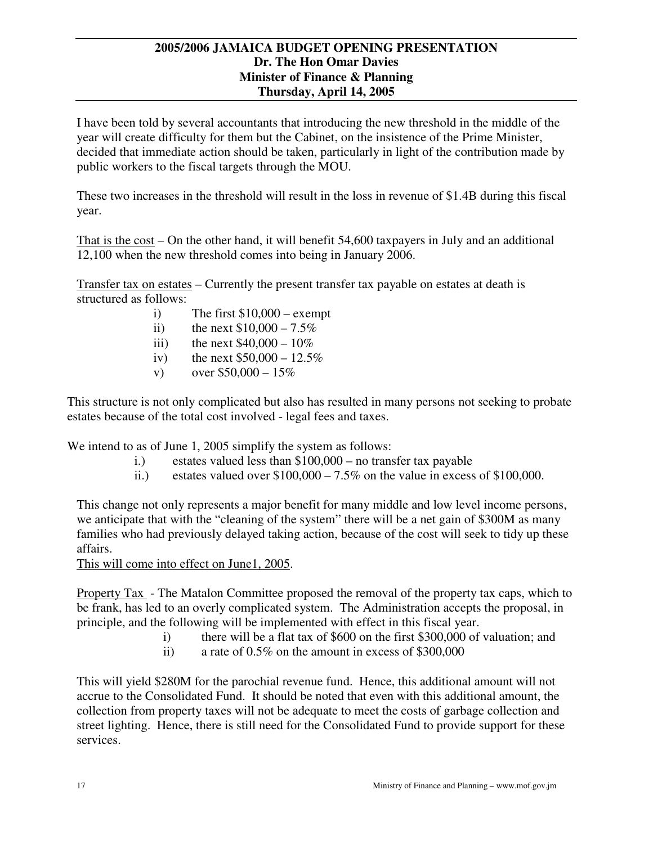I have been told by several accountants that introducing the new threshold in the middle of the year will create difficulty for them but the Cabinet, on the insistence of the Prime Minister, decided that immediate action should be taken, particularly in light of the contribution made by public workers to the fiscal targets through the MOU.

These two increases in the threshold will result in the loss in revenue of \$1.4B during this fiscal year.

That is the cost – On the other hand, it will benefit 54,600 taxpayers in July and an additional 12,100 when the new threshold comes into being in January 2006.

Transfer tax on estates – Currently the present transfer tax payable on estates at death is structured as follows:

- i) The first  $$10,000 -$  exempt
- ii) the next  $$10,000 7.5\%$
- iii) the next  $$40,000 10\%$
- iv) the next  $$50,000 12.5\%$
- v) over  $$50,000 15\%$

This structure is not only complicated but also has resulted in many persons not seeking to probate estates because of the total cost involved - legal fees and taxes.

We intend to as of June 1, 2005 simplify the system as follows:

- i.) estates valued less than \$100,000 no transfer tax payable
- ii.) estates valued over  $$100,000 7.5\%$  on the value in excess of  $$100,000$ .

This change not only represents a major benefit for many middle and low level income persons, we anticipate that with the "cleaning of the system" there will be a net gain of \$300M as many families who had previously delayed taking action, because of the cost will seek to tidy up these affairs.

This will come into effect on June1, 2005.

Property Tax - The Matalon Committee proposed the removal of the property tax caps, which to be frank, has led to an overly complicated system. The Administration accepts the proposal, in principle, and the following will be implemented with effect in this fiscal year.

- i) there will be a flat tax of \$600 on the first \$300,000 of valuation; and
- ii) a rate of 0.5% on the amount in excess of \$300,000

This will yield \$280M for the parochial revenue fund. Hence, this additional amount will not accrue to the Consolidated Fund. It should be noted that even with this additional amount, the collection from property taxes will not be adequate to meet the costs of garbage collection and street lighting. Hence, there is still need for the Consolidated Fund to provide support for these services.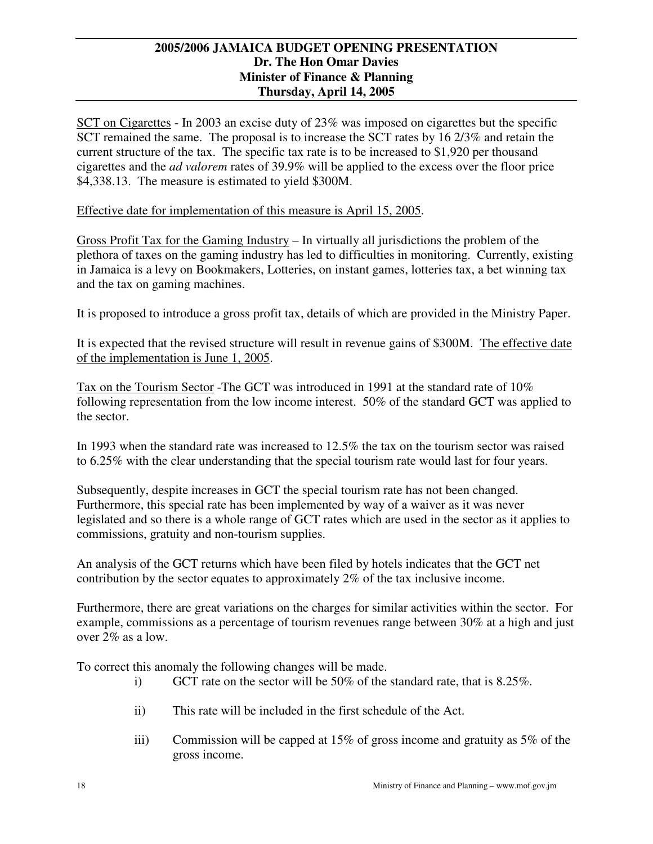SCT on Cigarettes - In 2003 an excise duty of 23% was imposed on cigarettes but the specific SCT remained the same. The proposal is to increase the SCT rates by 16 2/3% and retain the current structure of the tax. The specific tax rate is to be increased to \$1,920 per thousand cigarettes and the *ad valorem* rates of 39.9% will be applied to the excess over the floor price \$4,338.13. The measure is estimated to yield \$300M.

# Effective date for implementation of this measure is April 15, 2005.

Gross Profit Tax for the Gaming Industry – In virtually all jurisdictions the problem of the plethora of taxes on the gaming industry has led to difficulties in monitoring. Currently, existing in Jamaica is a levy on Bookmakers, Lotteries, on instant games, lotteries tax, a bet winning tax and the tax on gaming machines.

It is proposed to introduce a gross profit tax, details of which are provided in the Ministry Paper.

It is expected that the revised structure will result in revenue gains of \$300M. The effective date of the implementation is June 1, 2005.

Tax on the Tourism Sector -The GCT was introduced in 1991 at the standard rate of 10% following representation from the low income interest. 50% of the standard GCT was applied to the sector.

In 1993 when the standard rate was increased to 12.5% the tax on the tourism sector was raised to 6.25% with the clear understanding that the special tourism rate would last for four years.

Subsequently, despite increases in GCT the special tourism rate has not been changed. Furthermore, this special rate has been implemented by way of a waiver as it was never legislated and so there is a whole range of GCT rates which are used in the sector as it applies to commissions, gratuity and non-tourism supplies.

An analysis of the GCT returns which have been filed by hotels indicates that the GCT net contribution by the sector equates to approximately 2% of the tax inclusive income.

Furthermore, there are great variations on the charges for similar activities within the sector. For example, commissions as a percentage of tourism revenues range between 30% at a high and just over 2% as a low.

To correct this anomaly the following changes will be made.

- i) GCT rate on the sector will be 50% of the standard rate, that is 8.25%.
- ii) This rate will be included in the first schedule of the Act.
- iii) Commission will be capped at 15% of gross income and gratuity as 5% of the gross income.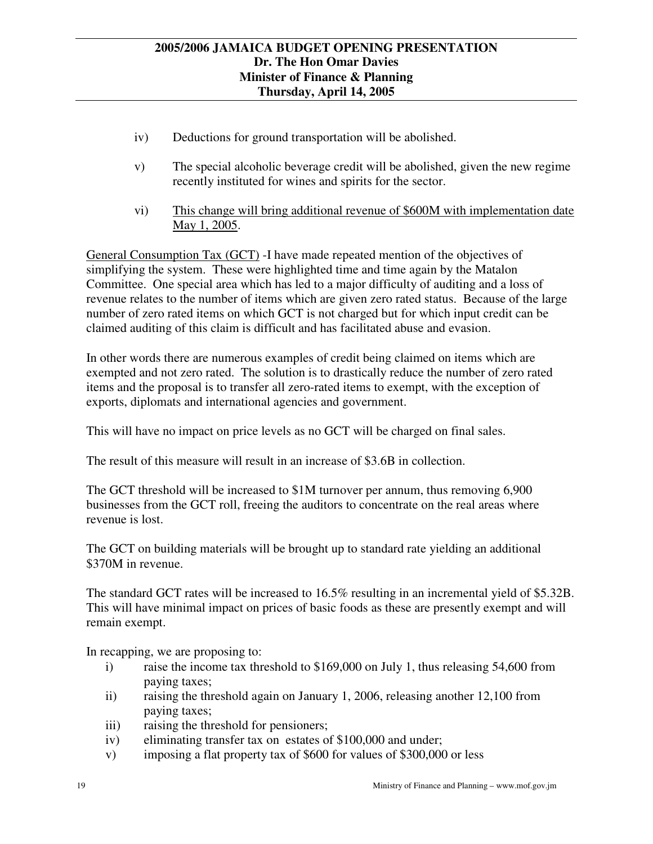- iv) Deductions for ground transportation will be abolished.
- v) The special alcoholic beverage credit will be abolished, given the new regime recently instituted for wines and spirits for the sector.
- vi) This change will bring additional revenue of \$600M with implementation date May 1, 2005.

General Consumption Tax (GCT) -I have made repeated mention of the objectives of simplifying the system. These were highlighted time and time again by the Matalon Committee. One special area which has led to a major difficulty of auditing and a loss of revenue relates to the number of items which are given zero rated status. Because of the large number of zero rated items on which GCT is not charged but for which input credit can be claimed auditing of this claim is difficult and has facilitated abuse and evasion.

In other words there are numerous examples of credit being claimed on items which are exempted and not zero rated. The solution is to drastically reduce the number of zero rated items and the proposal is to transfer all zero-rated items to exempt, with the exception of exports, diplomats and international agencies and government.

This will have no impact on price levels as no GCT will be charged on final sales.

The result of this measure will result in an increase of \$3.6B in collection.

The GCT threshold will be increased to \$1M turnover per annum, thus removing 6,900 businesses from the GCT roll, freeing the auditors to concentrate on the real areas where revenue is lost.

The GCT on building materials will be brought up to standard rate yielding an additional \$370M in revenue.

The standard GCT rates will be increased to 16.5% resulting in an incremental yield of \$5.32B. This will have minimal impact on prices of basic foods as these are presently exempt and will remain exempt.

In recapping, we are proposing to:

- i) raise the income tax threshold to \$169,000 on July 1, thus releasing 54,600 from paying taxes;
- ii) raising the threshold again on January 1, 2006, releasing another 12,100 from paying taxes;
- iii) raising the threshold for pensioners;
- iv) eliminating transfer tax on estates of \$100,000 and under;
- v) imposing a flat property tax of \$600 for values of \$300,000 or less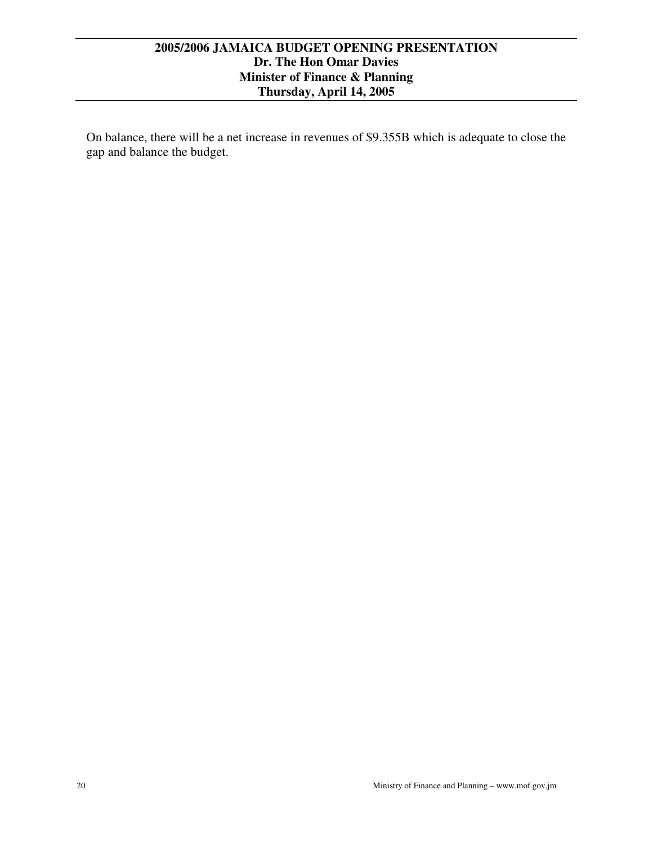On balance, there will be a net increase in revenues of \$9.355B which is adequate to close the gap and balance the budget.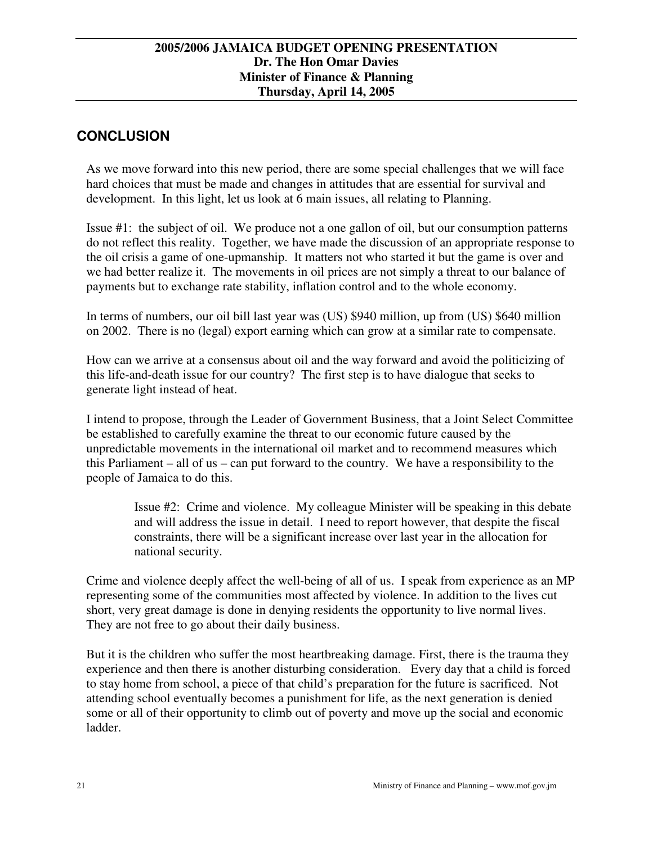# **CONCLUSION**

As we move forward into this new period, there are some special challenges that we will face hard choices that must be made and changes in attitudes that are essential for survival and development. In this light, let us look at 6 main issues, all relating to Planning.

Issue #1: the subject of oil. We produce not a one gallon of oil, but our consumption patterns do not reflect this reality. Together, we have made the discussion of an appropriate response to the oil crisis a game of one-upmanship. It matters not who started it but the game is over and we had better realize it. The movements in oil prices are not simply a threat to our balance of payments but to exchange rate stability, inflation control and to the whole economy.

In terms of numbers, our oil bill last year was (US) \$940 million, up from (US) \$640 million on 2002. There is no (legal) export earning which can grow at a similar rate to compensate.

How can we arrive at a consensus about oil and the way forward and avoid the politicizing of this life-and-death issue for our country? The first step is to have dialogue that seeks to generate light instead of heat.

I intend to propose, through the Leader of Government Business, that a Joint Select Committee be established to carefully examine the threat to our economic future caused by the unpredictable movements in the international oil market and to recommend measures which this Parliament – all of us – can put forward to the country. We have a responsibility to the people of Jamaica to do this.

Issue #2: Crime and violence. My colleague Minister will be speaking in this debate and will address the issue in detail. I need to report however, that despite the fiscal constraints, there will be a significant increase over last year in the allocation for national security.

Crime and violence deeply affect the well-being of all of us. I speak from experience as an MP representing some of the communities most affected by violence. In addition to the lives cut short, very great damage is done in denying residents the opportunity to live normal lives. They are not free to go about their daily business.

But it is the children who suffer the most heartbreaking damage. First, there is the trauma they experience and then there is another disturbing consideration. Every day that a child is forced to stay home from school, a piece of that child's preparation for the future is sacrificed. Not attending school eventually becomes a punishment for life, as the next generation is denied some or all of their opportunity to climb out of poverty and move up the social and economic ladder.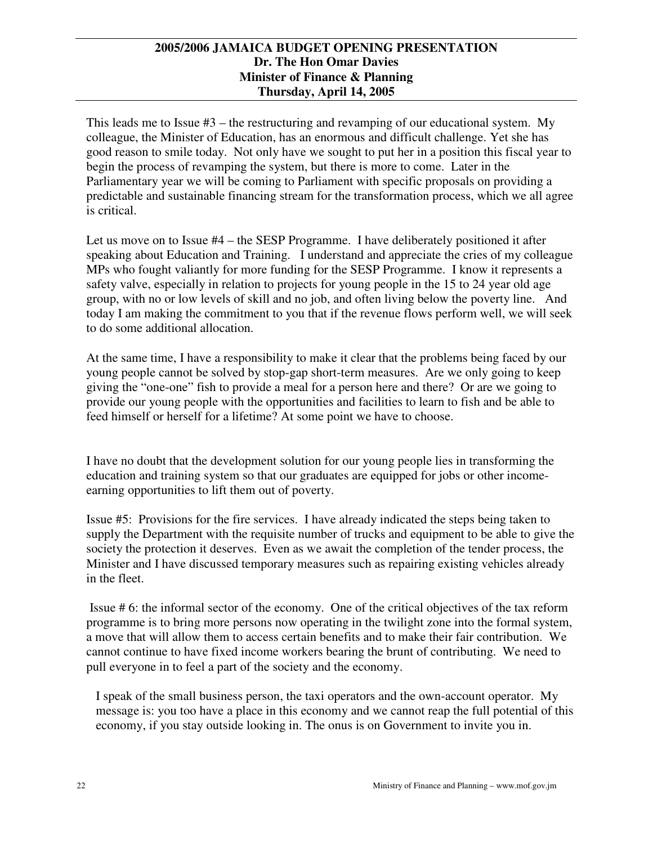This leads me to Issue #3 – the restructuring and revamping of our educational system. My colleague, the Minister of Education, has an enormous and difficult challenge. Yet she has good reason to smile today. Not only have we sought to put her in a position this fiscal year to begin the process of revamping the system, but there is more to come. Later in the Parliamentary year we will be coming to Parliament with specific proposals on providing a predictable and sustainable financing stream for the transformation process, which we all agree is critical.

Let us move on to Issue #4 – the SESP Programme. I have deliberately positioned it after speaking about Education and Training. I understand and appreciate the cries of my colleague MPs who fought valiantly for more funding for the SESP Programme. I know it represents a safety valve, especially in relation to projects for young people in the 15 to 24 year old age group, with no or low levels of skill and no job, and often living below the poverty line. And today I am making the commitment to you that if the revenue flows perform well, we will seek to do some additional allocation.

At the same time, I have a responsibility to make it clear that the problems being faced by our young people cannot be solved by stop-gap short-term measures. Are we only going to keep giving the "one-one" fish to provide a meal for a person here and there? Or are we going to provide our young people with the opportunities and facilities to learn to fish and be able to feed himself or herself for a lifetime? At some point we have to choose.

I have no doubt that the development solution for our young people lies in transforming the education and training system so that our graduates are equipped for jobs or other incomeearning opportunities to lift them out of poverty.

Issue #5: Provisions for the fire services. I have already indicated the steps being taken to supply the Department with the requisite number of trucks and equipment to be able to give the society the protection it deserves. Even as we await the completion of the tender process, the Minister and I have discussed temporary measures such as repairing existing vehicles already in the fleet.

Issue # 6: the informal sector of the economy. One of the critical objectives of the tax reform programme is to bring more persons now operating in the twilight zone into the formal system, a move that will allow them to access certain benefits and to make their fair contribution. We cannot continue to have fixed income workers bearing the brunt of contributing. We need to pull everyone in to feel a part of the society and the economy.

I speak of the small business person, the taxi operators and the own-account operator. My message is: you too have a place in this economy and we cannot reap the full potential of this economy, if you stay outside looking in. The onus is on Government to invite you in.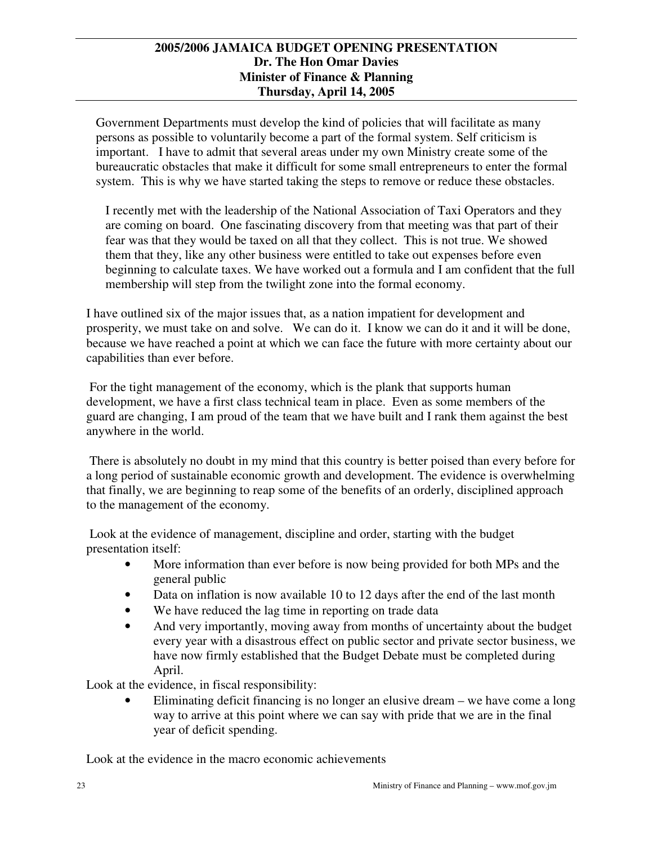Government Departments must develop the kind of policies that will facilitate as many persons as possible to voluntarily become a part of the formal system. Self criticism is important. I have to admit that several areas under my own Ministry create some of the bureaucratic obstacles that make it difficult for some small entrepreneurs to enter the formal system. This is why we have started taking the steps to remove or reduce these obstacles.

I recently met with the leadership of the National Association of Taxi Operators and they are coming on board. One fascinating discovery from that meeting was that part of their fear was that they would be taxed on all that they collect. This is not true. We showed them that they, like any other business were entitled to take out expenses before even beginning to calculate taxes. We have worked out a formula and I am confident that the full membership will step from the twilight zone into the formal economy.

I have outlined six of the major issues that, as a nation impatient for development and prosperity, we must take on and solve. We can do it. I know we can do it and it will be done, because we have reached a point at which we can face the future with more certainty about our capabilities than ever before.

For the tight management of the economy, which is the plank that supports human development, we have a first class technical team in place. Even as some members of the guard are changing, I am proud of the team that we have built and I rank them against the best anywhere in the world.

There is absolutely no doubt in my mind that this country is better poised than every before for a long period of sustainable economic growth and development. The evidence is overwhelming that finally, we are beginning to reap some of the benefits of an orderly, disciplined approach to the management of the economy.

Look at the evidence of management, discipline and order, starting with the budget presentation itself:

- More information than ever before is now being provided for both MPs and the general public
- Data on inflation is now available 10 to 12 days after the end of the last month
- We have reduced the lag time in reporting on trade data
- And very importantly, moving away from months of uncertainty about the budget every year with a disastrous effect on public sector and private sector business, we have now firmly established that the Budget Debate must be completed during April.

Look at the evidence, in fiscal responsibility:

Eliminating deficit financing is no longer an elusive dream – we have come a long way to arrive at this point where we can say with pride that we are in the final year of deficit spending.

Look at the evidence in the macro economic achievements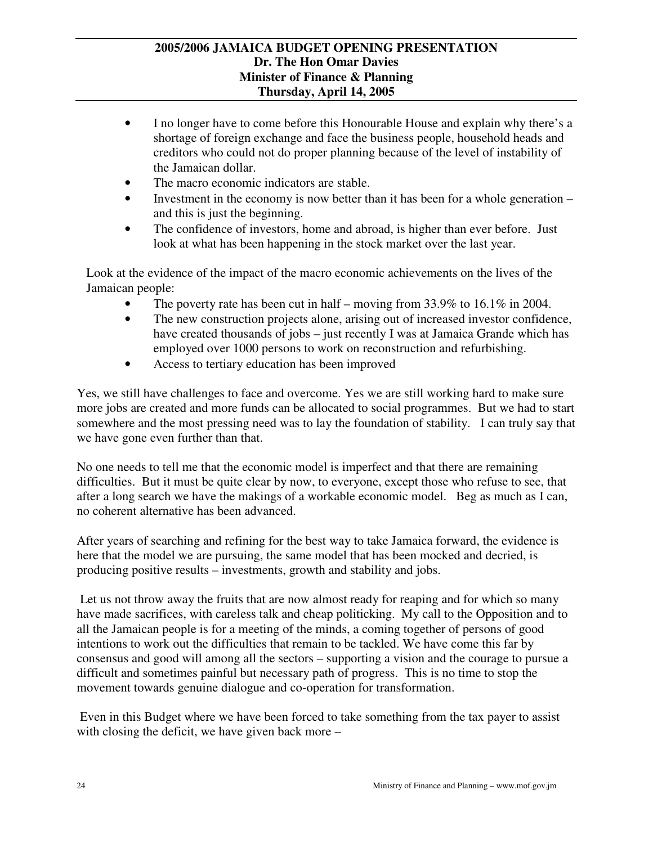- I no longer have to come before this Honourable House and explain why there's a shortage of foreign exchange and face the business people, household heads and creditors who could not do proper planning because of the level of instability of the Jamaican dollar.
- The macro economic indicators are stable.
- Investment in the economy is now better than it has been for a whole generation and this is just the beginning.
- The confidence of investors, home and abroad, is higher than ever before. Just look at what has been happening in the stock market over the last year.

Look at the evidence of the impact of the macro economic achievements on the lives of the Jamaican people:

- The poverty rate has been cut in half moving from  $33.9\%$  to  $16.1\%$  in 2004.
- The new construction projects alone, arising out of increased investor confidence, have created thousands of jobs – just recently I was at Jamaica Grande which has employed over 1000 persons to work on reconstruction and refurbishing.
- Access to tertiary education has been improved

Yes, we still have challenges to face and overcome. Yes we are still working hard to make sure more jobs are created and more funds can be allocated to social programmes. But we had to start somewhere and the most pressing need was to lay the foundation of stability. I can truly say that we have gone even further than that.

No one needs to tell me that the economic model is imperfect and that there are remaining difficulties. But it must be quite clear by now, to everyone, except those who refuse to see, that after a long search we have the makings of a workable economic model. Beg as much as I can, no coherent alternative has been advanced.

After years of searching and refining for the best way to take Jamaica forward, the evidence is here that the model we are pursuing, the same model that has been mocked and decried, is producing positive results – investments, growth and stability and jobs.

Let us not throw away the fruits that are now almost ready for reaping and for which so many have made sacrifices, with careless talk and cheap politicking. My call to the Opposition and to all the Jamaican people is for a meeting of the minds, a coming together of persons of good intentions to work out the difficulties that remain to be tackled. We have come this far by consensus and good will among all the sectors – supporting a vision and the courage to pursue a difficult and sometimes painful but necessary path of progress. This is no time to stop the movement towards genuine dialogue and co-operation for transformation.

Even in this Budget where we have been forced to take something from the tax payer to assist with closing the deficit, we have given back more –